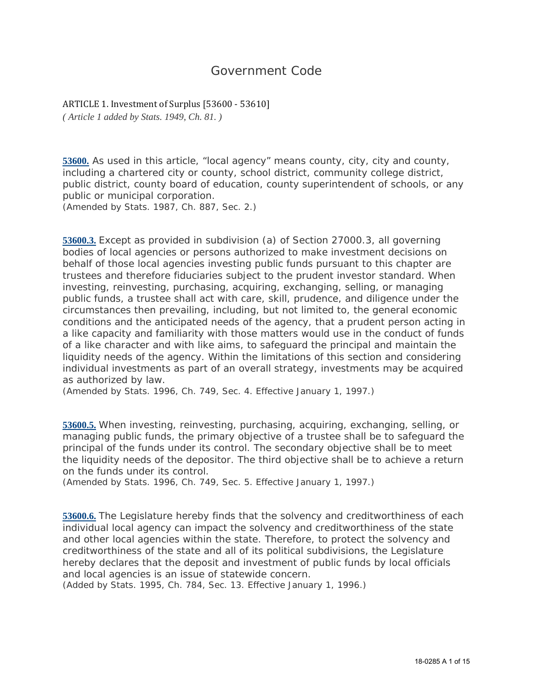## Government Code

ARTICLE 1. Investment of Surplus [53600 - 53610] *( Article 1 added by Stats. 1949, Ch. 81. )*

**53600.** As used in this article, "local agency" means county, city, city and county, including a chartered city or county, school district, community college district, public district, county board of education, county superintendent of schools, or any public or municipal corporation.

*(Amended by Stats. 1987, Ch. 887, Sec. 2.)*

**53600.3.** Except as provided in subdivision (a) of Section 27000.3, all governing bodies of local agencies or persons authorized to make investment decisions on behalf of those local agencies investing public funds pursuant to this chapter are trustees and therefore fiduciaries subject to the prudent investor standard. When investing, reinvesting, purchasing, acquiring, exchanging, selling, or managing public funds, a trustee shall act with care, skill, prudence, and diligence under the circumstances then prevailing, including, but not limited to, the general economic conditions and the anticipated needs of the agency, that a prudent person acting in a like capacity and familiarity with those matters would use in the conduct of funds of a like character and with like aims, to safeguard the principal and maintain the liquidity needs of the agency. Within the limitations of this section and considering individual investments as part of an overall strategy, investments may be acquired as authorized by law.

*(Amended by Stats. 1996, Ch. 749, Sec. 4. Effective January 1, 1997.)*

**53600.5.** When investing, reinvesting, purchasing, acquiring, exchanging, selling, or managing public funds, the primary objective of a trustee shall be to safeguard the principal of the funds under its control. The secondary objective shall be to meet the liquidity needs of the depositor. The third objective shall be to achieve a return on the funds under its control.

*(Amended by Stats. 1996, Ch. 749, Sec. 5. Effective January 1, 1997.)*

**53600.6.** The Legislature hereby finds that the solvency and creditworthiness of each individual local agency can impact the solvency and creditworthiness of the state and other local agencies within the state. Therefore, to protect the solvency and creditworthiness of the state and all of its political subdivisions, the Legislature hereby declares that the deposit and investment of public funds by local officials and local agencies is an issue of statewide concern.

*(Added by Stats. 1995, Ch. 784, Sec. 13. Effective January 1, 1996.)*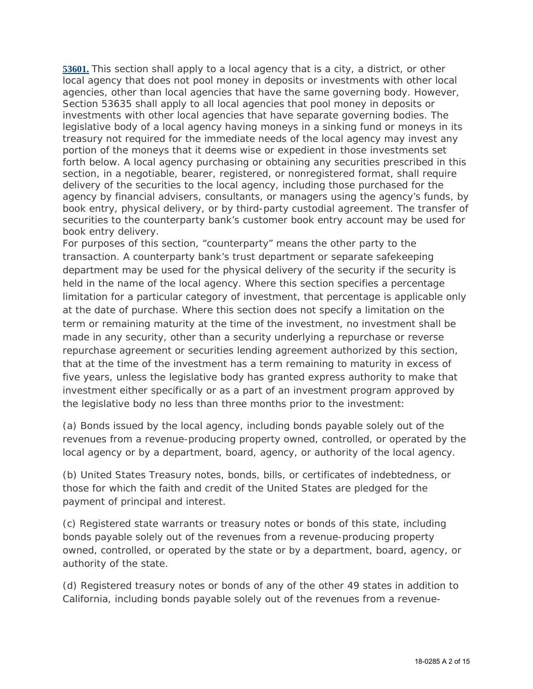**53601.** This section shall apply to a local agency that is a city, a district, or other local agency that does not pool money in deposits or investments with other local agencies, other than local agencies that have the same governing body. However, Section 53635 shall apply to all local agencies that pool money in deposits or investments with other local agencies that have separate governing bodies. The legislative body of a local agency having moneys in a sinking fund or moneys in its treasury not required for the immediate needs of the local agency may invest any portion of the moneys that it deems wise or expedient in those investments set forth below. A local agency purchasing or obtaining any securities prescribed in this section, in a negotiable, bearer, registered, or nonregistered format, shall require delivery of the securities to the local agency, including those purchased for the agency by financial advisers, consultants, or managers using the agency's funds, by book entry, physical delivery, or by third-party custodial agreement. The transfer of securities to the counterparty bank's customer book entry account may be used for book entry delivery.

For purposes of this section, "counterparty" means the other party to the transaction. A counterparty bank's trust department or separate safekeeping department may be used for the physical delivery of the security if the security is held in the name of the local agency. Where this section specifies a percentage limitation for a particular category of investment, that percentage is applicable only at the date of purchase. Where this section does not specify a limitation on the term or remaining maturity at the time of the investment, no investment shall be made in any security, other than a security underlying a repurchase or reverse repurchase agreement or securities lending agreement authorized by this section, that at the time of the investment has a term remaining to maturity in excess of five years, unless the legislative body has granted express authority to make that investment either specifically or as a part of an investment program approved by the legislative body no less than three months prior to the investment:

(a) Bonds issued by the local agency, including bonds payable solely out of the revenues from a revenue-producing property owned, controlled, or operated by the local agency or by a department, board, agency, or authority of the local agency.

(b) United States Treasury notes, bonds, bills, or certificates of indebtedness, or those for which the faith and credit of the United States are pledged for the payment of principal and interest.

(c) Registered state warrants or treasury notes or bonds of this state, including bonds payable solely out of the revenues from a revenue-producing property owned, controlled, or operated by the state or by a department, board, agency, or authority of the state.

(d) Registered treasury notes or bonds of any of the other 49 states in addition to California, including bonds payable solely out of the revenues from a revenue-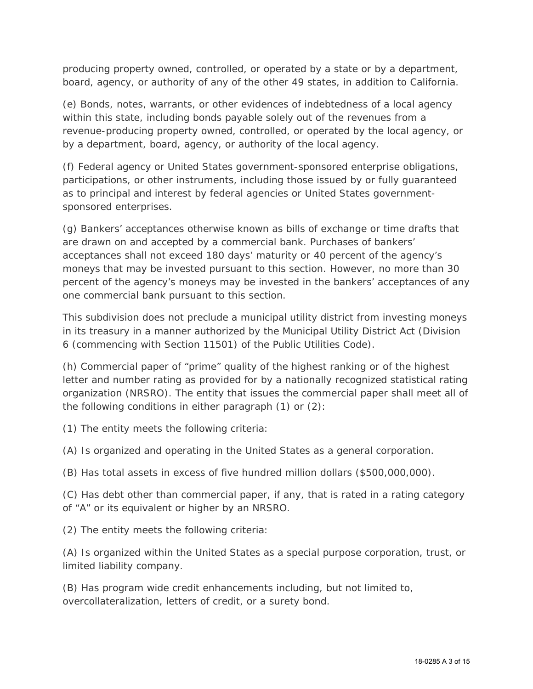producing property owned, controlled, or operated by a state or by a department, board, agency, or authority of any of the other 49 states, in addition to California.

(e) Bonds, notes, warrants, or other evidences of indebtedness of a local agency within this state, including bonds payable solely out of the revenues from a revenue-producing property owned, controlled, or operated by the local agency, or by a department, board, agency, or authority of the local agency.

(f) Federal agency or United States government-sponsored enterprise obligations, participations, or other instruments, including those issued by or fully guaranteed as to principal and interest by federal agencies or United States governmentsponsored enterprises.

(g) Bankers' acceptances otherwise known as bills of exchange or time drafts that are drawn on and accepted by a commercial bank. Purchases of bankers' acceptances shall not exceed 180 days' maturity or 40 percent of the agency's moneys that may be invested pursuant to this section. However, no more than 30 percent of the agency's moneys may be invested in the bankers' acceptances of any one commercial bank pursuant to this section.

This subdivision does not preclude a municipal utility district from investing moneys in its treasury in a manner authorized by the Municipal Utility District Act (Division 6 (commencing with Section 11501) of the Public Utilities Code).

(h) Commercial paper of "prime" quality of the highest ranking or of the highest letter and number rating as provided for by a nationally recognized statistical rating organization (NRSRO). The entity that issues the commercial paper shall meet all of the following conditions in either paragraph (1) or (2):

(1) The entity meets the following criteria:

(A) Is organized and operating in the United States as a general corporation.

(B) Has total assets in excess of five hundred million dollars (\$500,000,000).

(C) Has debt other than commercial paper, if any, that is rated in a rating category of "A" or its equivalent or higher by an NRSRO.

(2) The entity meets the following criteria:

(A) Is organized within the United States as a special purpose corporation, trust, or limited liability company.

(B) Has program wide credit enhancements including, but not limited to, overcollateralization, letters of credit, or a surety bond.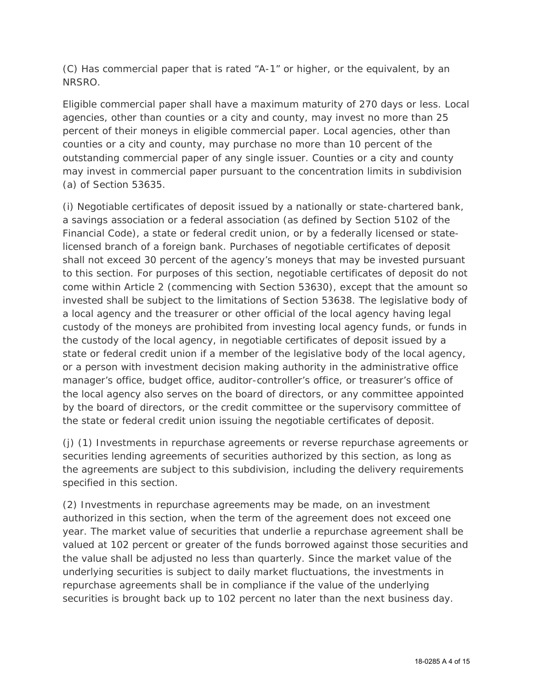(C) Has commercial paper that is rated "A-1" or higher, or the equivalent, by an NRSRO.

Eligible commercial paper shall have a maximum maturity of 270 days or less. Local agencies, other than counties or a city and county, may invest no more than 25 percent of their moneys in eligible commercial paper. Local agencies, other than counties or a city and county, may purchase no more than 10 percent of the outstanding commercial paper of any single issuer. Counties or a city and county may invest in commercial paper pursuant to the concentration limits in subdivision (a) of Section 53635.

(i) Negotiable certificates of deposit issued by a nationally or state-chartered bank, a savings association or a federal association (as defined by Section 5102 of the Financial Code), a state or federal credit union, or by a federally licensed or statelicensed branch of a foreign bank. Purchases of negotiable certificates of deposit shall not exceed 30 percent of the agency's moneys that may be invested pursuant to this section. For purposes of this section, negotiable certificates of deposit do not come within Article 2 (commencing with Section 53630), except that the amount so invested shall be subject to the limitations of Section 53638. The legislative body of a local agency and the treasurer or other official of the local agency having legal custody of the moneys are prohibited from investing local agency funds, or funds in the custody of the local agency, in negotiable certificates of deposit issued by a state or federal credit union if a member of the legislative body of the local agency, or a person with investment decision making authority in the administrative office manager's office, budget office, auditor-controller's office, or treasurer's office of the local agency also serves on the board of directors, or any committee appointed by the board of directors, or the credit committee or the supervisory committee of the state or federal credit union issuing the negotiable certificates of deposit.

(j) (1) Investments in repurchase agreements or reverse repurchase agreements or securities lending agreements of securities authorized by this section, as long as the agreements are subject to this subdivision, including the delivery requirements specified in this section.

(2) Investments in repurchase agreements may be made, on an investment authorized in this section, when the term of the agreement does not exceed one year. The market value of securities that underlie a repurchase agreement shall be valued at 102 percent or greater of the funds borrowed against those securities and the value shall be adjusted no less than quarterly. Since the market value of the underlying securities is subject to daily market fluctuations, the investments in repurchase agreements shall be in compliance if the value of the underlying securities is brought back up to 102 percent no later than the next business day.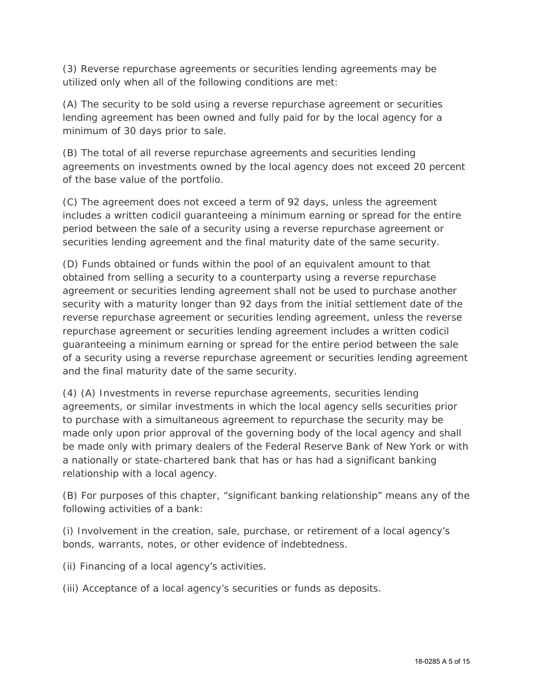(3) Reverse repurchase agreements or securities lending agreements may be utilized only when all of the following conditions are met:

(A) The security to be sold using a reverse repurchase agreement or securities lending agreement has been owned and fully paid for by the local agency for a minimum of 30 days prior to sale.

(B) The total of all reverse repurchase agreements and securities lending agreements on investments owned by the local agency does not exceed 20 percent of the base value of the portfolio.

(C) The agreement does not exceed a term of 92 days, unless the agreement includes a written codicil guaranteeing a minimum earning or spread for the entire period between the sale of a security using a reverse repurchase agreement or securities lending agreement and the final maturity date of the same security.

(D) Funds obtained or funds within the pool of an equivalent amount to that obtained from selling a security to a counterparty using a reverse repurchase agreement or securities lending agreement shall not be used to purchase another security with a maturity longer than 92 days from the initial settlement date of the reverse repurchase agreement or securities lending agreement, unless the reverse repurchase agreement or securities lending agreement includes a written codicil guaranteeing a minimum earning or spread for the entire period between the sale of a security using a reverse repurchase agreement or securities lending agreement and the final maturity date of the same security.

(4) (A) Investments in reverse repurchase agreements, securities lending agreements, or similar investments in which the local agency sells securities prior to purchase with a simultaneous agreement to repurchase the security may be made only upon prior approval of the governing body of the local agency and shall be made only with primary dealers of the Federal Reserve Bank of New York or with a nationally or state-chartered bank that has or has had a significant banking relationship with a local agency.

(B) For purposes of this chapter, "significant banking relationship" means any of the following activities of a bank:

(i) Involvement in the creation, sale, purchase, or retirement of a local agency's bonds, warrants, notes, or other evidence of indebtedness.

(ii) Financing of a local agency's activities.

(iii) Acceptance of a local agency's securities or funds as deposits.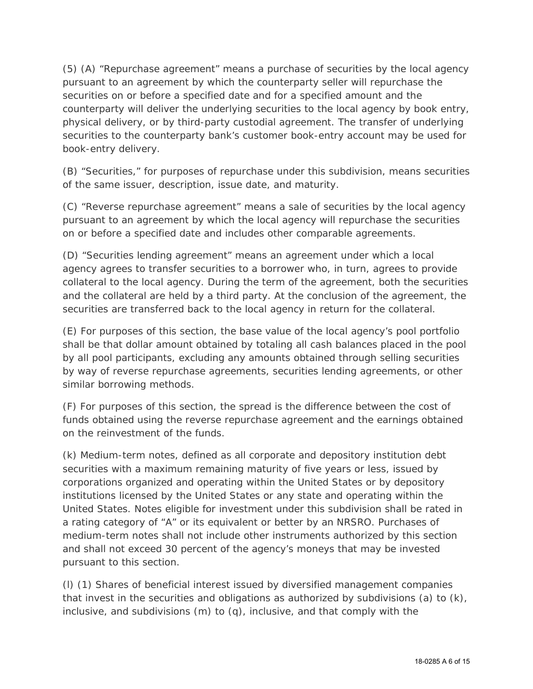(5) (A) "Repurchase agreement" means a purchase of securities by the local agency pursuant to an agreement by which the counterparty seller will repurchase the securities on or before a specified date and for a specified amount and the counterparty will deliver the underlying securities to the local agency by book entry, physical delivery, or by third-party custodial agreement. The transfer of underlying securities to the counterparty bank's customer book-entry account may be used for book-entry delivery.

(B) "Securities," for purposes of repurchase under this subdivision, means securities of the same issuer, description, issue date, and maturity.

(C) "Reverse repurchase agreement" means a sale of securities by the local agency pursuant to an agreement by which the local agency will repurchase the securities on or before a specified date and includes other comparable agreements.

(D) "Securities lending agreement" means an agreement under which a local agency agrees to transfer securities to a borrower who, in turn, agrees to provide collateral to the local agency. During the term of the agreement, both the securities and the collateral are held by a third party. At the conclusion of the agreement, the securities are transferred back to the local agency in return for the collateral.

(E) For purposes of this section, the base value of the local agency's pool portfolio shall be that dollar amount obtained by totaling all cash balances placed in the pool by all pool participants, excluding any amounts obtained through selling securities by way of reverse repurchase agreements, securities lending agreements, or other similar borrowing methods.

(F) For purposes of this section, the spread is the difference between the cost of funds obtained using the reverse repurchase agreement and the earnings obtained on the reinvestment of the funds.

(k) Medium-term notes, defined as all corporate and depository institution debt securities with a maximum remaining maturity of five years or less, issued by corporations organized and operating within the United States or by depository institutions licensed by the United States or any state and operating within the United States. Notes eligible for investment under this subdivision shall be rated in a rating category of "A" or its equivalent or better by an NRSRO. Purchases of medium-term notes shall not include other instruments authorized by this section and shall not exceed 30 percent of the agency's moneys that may be invested pursuant to this section.

(l) (1) Shares of beneficial interest issued by diversified management companies that invest in the securities and obligations as authorized by subdivisions (a) to (k), inclusive, and subdivisions (m) to (q), inclusive, and that comply with the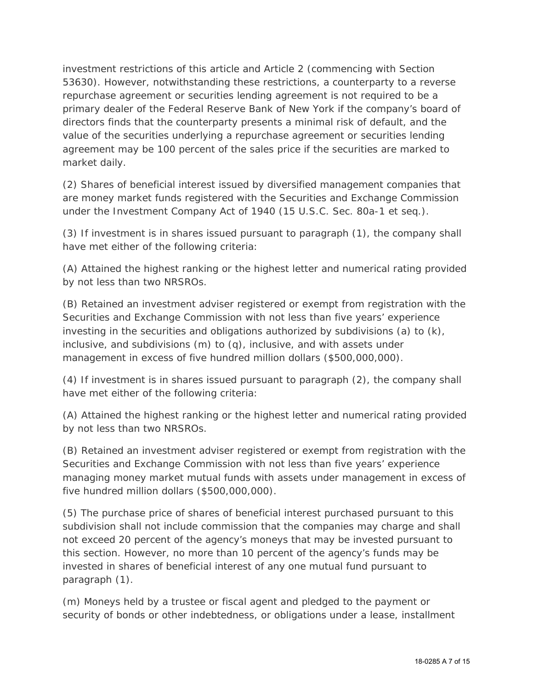investment restrictions of this article and Article 2 (commencing with Section 53630). However, notwithstanding these restrictions, a counterparty to a reverse repurchase agreement or securities lending agreement is not required to be a primary dealer of the Federal Reserve Bank of New York if the company's board of directors finds that the counterparty presents a minimal risk of default, and the value of the securities underlying a repurchase agreement or securities lending agreement may be 100 percent of the sales price if the securities are marked to market daily.

(2) Shares of beneficial interest issued by diversified management companies that are money market funds registered with the Securities and Exchange Commission under the Investment Company Act of 1940 (15 U.S.C. Sec. 80a-1 et seq.).

(3) If investment is in shares issued pursuant to paragraph (1), the company shall have met either of the following criteria:

(A) Attained the highest ranking or the highest letter and numerical rating provided by not less than two NRSROs.

(B) Retained an investment adviser registered or exempt from registration with the Securities and Exchange Commission with not less than five years' experience investing in the securities and obligations authorized by subdivisions (a) to (k), inclusive, and subdivisions (m) to (q), inclusive, and with assets under management in excess of five hundred million dollars (\$500,000,000).

(4) If investment is in shares issued pursuant to paragraph (2), the company shall have met either of the following criteria:

(A) Attained the highest ranking or the highest letter and numerical rating provided by not less than two NRSROs.

(B) Retained an investment adviser registered or exempt from registration with the Securities and Exchange Commission with not less than five years' experience managing money market mutual funds with assets under management in excess of five hundred million dollars (\$500,000,000).

(5) The purchase price of shares of beneficial interest purchased pursuant to this subdivision shall not include commission that the companies may charge and shall not exceed 20 percent of the agency's moneys that may be invested pursuant to this section. However, no more than 10 percent of the agency's funds may be invested in shares of beneficial interest of any one mutual fund pursuant to paragraph (1).

(m) Moneys held by a trustee or fiscal agent and pledged to the payment or security of bonds or other indebtedness, or obligations under a lease, installment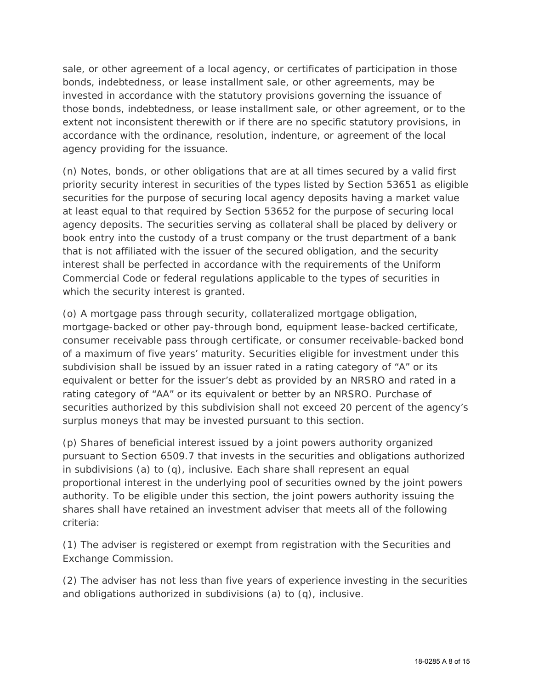sale, or other agreement of a local agency, or certificates of participation in those bonds, indebtedness, or lease installment sale, or other agreements, may be invested in accordance with the statutory provisions governing the issuance of those bonds, indebtedness, or lease installment sale, or other agreement, or to the extent not inconsistent therewith or if there are no specific statutory provisions, in accordance with the ordinance, resolution, indenture, or agreement of the local agency providing for the issuance.

(n) Notes, bonds, or other obligations that are at all times secured by a valid first priority security interest in securities of the types listed by Section 53651 as eligible securities for the purpose of securing local agency deposits having a market value at least equal to that required by Section 53652 for the purpose of securing local agency deposits. The securities serving as collateral shall be placed by delivery or book entry into the custody of a trust company or the trust department of a bank that is not affiliated with the issuer of the secured obligation, and the security interest shall be perfected in accordance with the requirements of the Uniform Commercial Code or federal regulations applicable to the types of securities in which the security interest is granted.

(o) A mortgage pass through security, collateralized mortgage obligation, mortgage-backed or other pay-through bond, equipment lease-backed certificate, consumer receivable pass through certificate, or consumer receivable-backed bond of a maximum of five years' maturity. Securities eligible for investment under this subdivision shall be issued by an issuer rated in a rating category of "A" or its equivalent or better for the issuer's debt as provided by an NRSRO and rated in a rating category of "AA" or its equivalent or better by an NRSRO. Purchase of securities authorized by this subdivision shall not exceed 20 percent of the agency's surplus moneys that may be invested pursuant to this section.

(p) Shares of beneficial interest issued by a joint powers authority organized pursuant to Section 6509.7 that invests in the securities and obligations authorized in subdivisions (a) to (q), inclusive. Each share shall represent an equal proportional interest in the underlying pool of securities owned by the joint powers authority. To be eligible under this section, the joint powers authority issuing the shares shall have retained an investment adviser that meets all of the following criteria:

(1) The adviser is registered or exempt from registration with the Securities and Exchange Commission.

(2) The adviser has not less than five years of experience investing in the securities and obligations authorized in subdivisions (a) to (q), inclusive.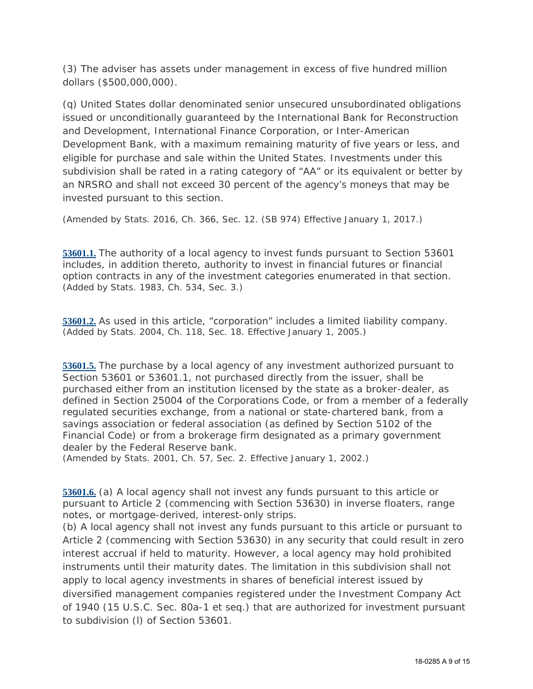(3) The adviser has assets under management in excess of five hundred million dollars (\$500,000,000).

(q) United States dollar denominated senior unsecured unsubordinated obligations issued or unconditionally guaranteed by the International Bank for Reconstruction and Development, International Finance Corporation, or Inter-American Development Bank, with a maximum remaining maturity of five years or less, and eligible for purchase and sale within the United States. Investments under this subdivision shall be rated in a rating category of "AA" or its equivalent or better by an NRSRO and shall not exceed 30 percent of the agency's moneys that may be invested pursuant to this section.

*(Amended by Stats. 2016, Ch. 366, Sec. 12. (SB 974) Effective January 1, 2017.)*

**53601.1.** The authority of a local agency to invest funds pursuant to Section 53601 includes, in addition thereto, authority to invest in financial futures or financial option contracts in any of the investment categories enumerated in that section. *(Added by Stats. 1983, Ch. 534, Sec. 3.)*

**53601.2.** As used in this article, "corporation" includes a limited liability company. *(Added by Stats. 2004, Ch. 118, Sec. 18. Effective January 1, 2005.)*

**53601.5.** The purchase by a local agency of any investment authorized pursuant to Section 53601 or 53601.1, not purchased directly from the issuer, shall be purchased either from an institution licensed by the state as a broker-dealer, as defined in Section 25004 of the Corporations Code, or from a member of a federally regulated securities exchange, from a national or state-chartered bank, from a savings association or federal association (as defined by Section 5102 of the Financial Code) or from a brokerage firm designated as a primary government dealer by the Federal Reserve bank.

*(Amended by Stats. 2001, Ch. 57, Sec. 2. Effective January 1, 2002.)*

**53601.6.** (a) A local agency shall not invest any funds pursuant to this article or pursuant to Article 2 (commencing with Section 53630) in inverse floaters, range notes, or mortgage-derived, interest-only strips.

(b) A local agency shall not invest any funds pursuant to this article or pursuant to Article 2 (commencing with Section 53630) in any security that could result in zero interest accrual if held to maturity. However, a local agency may hold prohibited instruments until their maturity dates. The limitation in this subdivision shall not apply to local agency investments in shares of beneficial interest issued by diversified management companies registered under the Investment Company Act of 1940 (15 U.S.C. Sec. 80a-1 et seq.) that are authorized for investment pursuant to subdivision (l) of Section 53601.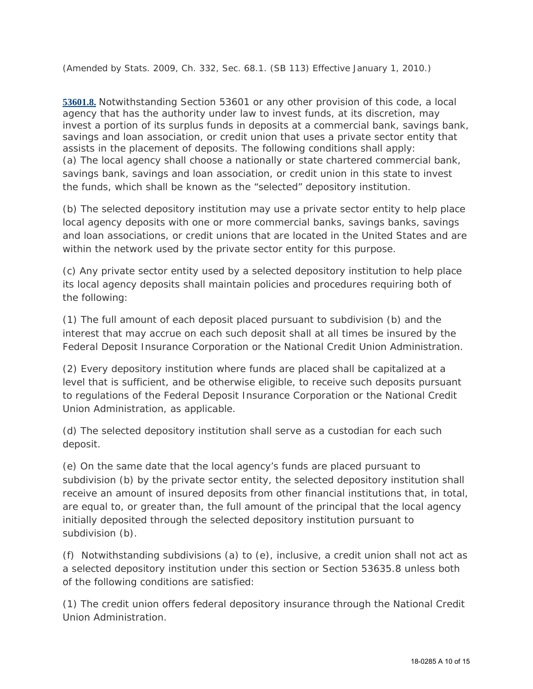*(Amended by Stats. 2009, Ch. 332, Sec. 68.1. (SB 113) Effective January 1, 2010.)*

**53601.8.** Notwithstanding Section 53601 or any other provision of this code, a local agency that has the authority under law to invest funds, at its discretion, may invest a portion of its surplus funds in deposits at a commercial bank, savings bank, savings and loan association, or credit union that uses a private sector entity that assists in the placement of deposits. The following conditions shall apply: (a) The local agency shall choose a nationally or state chartered commercial bank, savings bank, savings and loan association, or credit union in this state to invest the funds, which shall be known as the "selected" depository institution.

(b) The selected depository institution may use a private sector entity to help place local agency deposits with one or more commercial banks, savings banks, savings and loan associations, or credit unions that are located in the United States and are within the network used by the private sector entity for this purpose.

(c) Any private sector entity used by a selected depository institution to help place its local agency deposits shall maintain policies and procedures requiring both of the following:

(1) The full amount of each deposit placed pursuant to subdivision (b) and the interest that may accrue on each such deposit shall at all times be insured by the Federal Deposit Insurance Corporation or the National Credit Union Administration.

(2) Every depository institution where funds are placed shall be capitalized at a level that is sufficient, and be otherwise eligible, to receive such deposits pursuant to regulations of the Federal Deposit Insurance Corporation or the National Credit Union Administration, as applicable.

(d) The selected depository institution shall serve as a custodian for each such deposit.

(e) On the same date that the local agency's funds are placed pursuant to subdivision (b) by the private sector entity, the selected depository institution shall receive an amount of insured deposits from other financial institutions that, in total, are equal to, or greater than, the full amount of the principal that the local agency initially deposited through the selected depository institution pursuant to subdivision (b).

(f) Notwithstanding subdivisions (a) to (e), inclusive, a credit union shall not act as a selected depository institution under this section or Section 53635.8 unless both of the following conditions are satisfied:

(1) The credit union offers federal depository insurance through the National Credit Union Administration.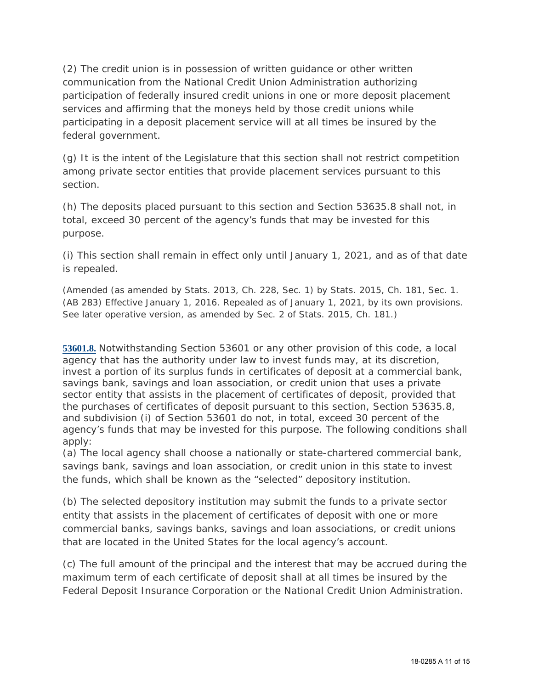(2) The credit union is in possession of written guidance or other written communication from the National Credit Union Administration authorizing participation of federally insured credit unions in one or more deposit placement services and affirming that the moneys held by those credit unions while participating in a deposit placement service will at all times be insured by the federal government.

(g) It is the intent of the Legislature that this section shall not restrict competition among private sector entities that provide placement services pursuant to this section.

(h) The deposits placed pursuant to this section and Section 53635.8 shall not, in total, exceed 30 percent of the agency's funds that may be invested for this purpose.

(i) This section shall remain in effect only until January 1, 2021, and as of that date is repealed.

*(Amended (as amended by Stats. 2013, Ch. 228, Sec. 1) by Stats. 2015, Ch. 181, Sec. 1. (AB 283) Effective January 1, 2016. Repealed as of January 1, 2021, by its own provisions. See later operative version, as amended by Sec. 2 of Stats. 2015, Ch. 181.)*

**53601.8.** Notwithstanding Section 53601 or any other provision of this code, a local agency that has the authority under law to invest funds may, at its discretion, invest a portion of its surplus funds in certificates of deposit at a commercial bank, savings bank, savings and loan association, or credit union that uses a private sector entity that assists in the placement of certificates of deposit, provided that the purchases of certificates of deposit pursuant to this section, Section 53635.8, and subdivision (i) of Section 53601 do not, in total, exceed 30 percent of the agency's funds that may be invested for this purpose. The following conditions shall apply:

(a) The local agency shall choose a nationally or state-chartered commercial bank, savings bank, savings and loan association, or credit union in this state to invest the funds, which shall be known as the "selected" depository institution.

(b) The selected depository institution may submit the funds to a private sector entity that assists in the placement of certificates of deposit with one or more commercial banks, savings banks, savings and loan associations, or credit unions that are located in the United States for the local agency's account.

(c) The full amount of the principal and the interest that may be accrued during the maximum term of each certificate of deposit shall at all times be insured by the Federal Deposit Insurance Corporation or the National Credit Union Administration.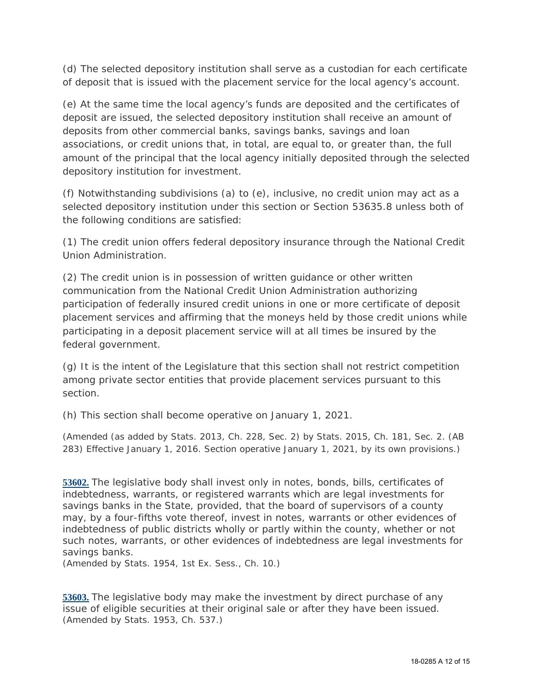(d) The selected depository institution shall serve as a custodian for each certificate of deposit that is issued with the placement service for the local agency's account.

(e) At the same time the local agency's funds are deposited and the certificates of deposit are issued, the selected depository institution shall receive an amount of deposits from other commercial banks, savings banks, savings and loan associations, or credit unions that, in total, are equal to, or greater than, the full amount of the principal that the local agency initially deposited through the selected depository institution for investment.

(f) Notwithstanding subdivisions (a) to (e), inclusive, no credit union may act as a selected depository institution under this section or Section 53635.8 unless both of the following conditions are satisfied:

(1) The credit union offers federal depository insurance through the National Credit Union Administration.

(2) The credit union is in possession of written guidance or other written communication from the National Credit Union Administration authorizing participation of federally insured credit unions in one or more certificate of deposit placement services and affirming that the moneys held by those credit unions while participating in a deposit placement service will at all times be insured by the federal government.

(g) It is the intent of the Legislature that this section shall not restrict competition among private sector entities that provide placement services pursuant to this section.

(h) This section shall become operative on January 1, 2021.

*(Amended (as added by Stats. 2013, Ch. 228, Sec. 2) by Stats. 2015, Ch. 181, Sec. 2. (AB 283) Effective January 1, 2016. Section operative January 1, 2021, by its own provisions.)*

**53602.** The legislative body shall invest only in notes, bonds, bills, certificates of indebtedness, warrants, or registered warrants which are legal investments for savings banks in the State, provided, that the board of supervisors of a county may, by a four-fifths vote thereof, invest in notes, warrants or other evidences of indebtedness of public districts wholly or partly within the county, whether or not such notes, warrants, or other evidences of indebtedness are legal investments for savings banks.

*(Amended by Stats. 1954, 1st Ex. Sess., Ch. 10.)*

**53603.** The legislative body may make the investment by direct purchase of any issue of eligible securities at their original sale or after they have been issued. *(Amended by Stats. 1953, Ch. 537.)*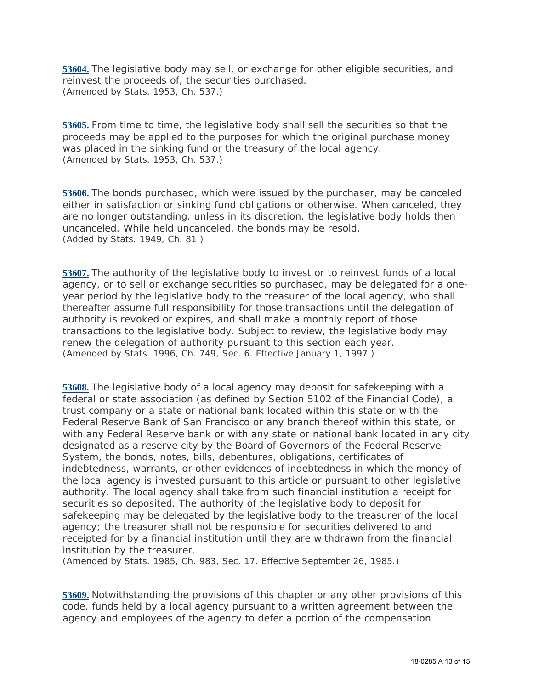**53604.** The legislative body may sell, or exchange for other eligible securities, and reinvest the proceeds of, the securities purchased. *(Amended by Stats. 1953, Ch. 537.)*

**53605.** From time to time, the legislative body shall sell the securities so that the proceeds may be applied to the purposes for which the original purchase money was placed in the sinking fund or the treasury of the local agency. *(Amended by Stats. 1953, Ch. 537.)*

**53606.** The bonds purchased, which were issued by the purchaser, may be canceled either in satisfaction or sinking fund obligations or otherwise. When canceled, they are no longer outstanding, unless in its discretion, the legislative body holds then uncanceled. While held uncanceled, the bonds may be resold. *(Added by Stats. 1949, Ch. 81.)*

**53607.** The authority of the legislative body to invest or to reinvest funds of a local agency, or to sell or exchange securities so purchased, may be delegated for a oneyear period by the legislative body to the treasurer of the local agency, who shall thereafter assume full responsibility for those transactions until the delegation of authority is revoked or expires, and shall make a monthly report of those transactions to the legislative body. Subject to review, the legislative body may renew the delegation of authority pursuant to this section each year. *(Amended by Stats. 1996, Ch. 749, Sec. 6. Effective January 1, 1997.)*

**53608.** The legislative body of a local agency may deposit for safekeeping with a federal or state association (as defined by Section 5102 of the Financial Code), a trust company or a state or national bank located within this state or with the Federal Reserve Bank of San Francisco or any branch thereof within this state, or with any Federal Reserve bank or with any state or national bank located in any city designated as a reserve city by the Board of Governors of the Federal Reserve System, the bonds, notes, bills, debentures, obligations, certificates of indebtedness, warrants, or other evidences of indebtedness in which the money of the local agency is invested pursuant to this article or pursuant to other legislative authority. The local agency shall take from such financial institution a receipt for securities so deposited. The authority of the legislative body to deposit for safekeeping may be delegated by the legislative body to the treasurer of the local agency; the treasurer shall not be responsible for securities delivered to and receipted for by a financial institution until they are withdrawn from the financial institution by the treasurer.

*(Amended by Stats. 1985, Ch. 983, Sec. 17. Effective September 26, 1985.)*

**53609.** Notwithstanding the provisions of this chapter or any other provisions of this code, funds held by a local agency pursuant to a written agreement between the agency and employees of the agency to defer a portion of the compensation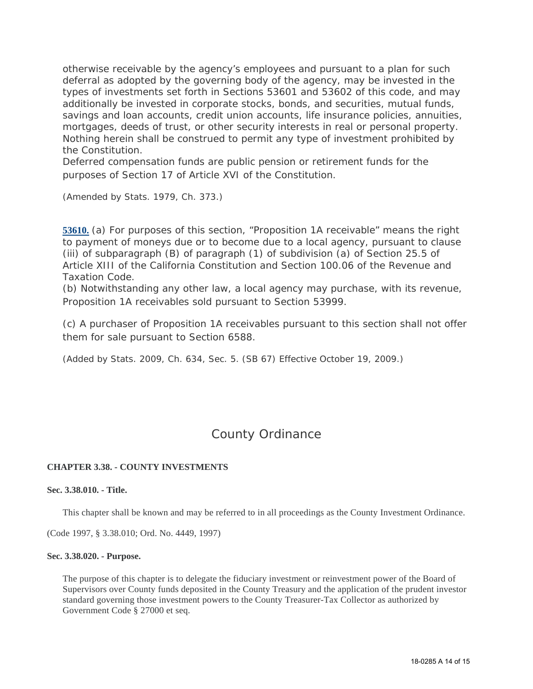otherwise receivable by the agency's employees and pursuant to a plan for such deferral as adopted by the governing body of the agency, may be invested in the types of investments set forth in Sections 53601 and 53602 of this code, and may additionally be invested in corporate stocks, bonds, and securities, mutual funds, savings and loan accounts, credit union accounts, life insurance policies, annuities, mortgages, deeds of trust, or other security interests in real or personal property. Nothing herein shall be construed to permit any type of investment prohibited by the Constitution.

Deferred compensation funds are public pension or retirement funds for the purposes of Section 17 of Article XVI of the Constitution.

*(Amended by Stats. 1979, Ch. 373.)*

**53610.** (a) For purposes of this section, "Proposition 1A receivable" means the right to payment of moneys due or to become due to a local agency, pursuant to clause (iii) of subparagraph (B) of paragraph (1) of subdivision (a) of Section 25.5 of Article XIII of the California Constitution and Section 100.06 of the Revenue and Taxation Code.

(b) Notwithstanding any other law, a local agency may purchase, with its revenue, Proposition 1A receivables sold pursuant to Section 53999.

(c) A purchaser of Proposition 1A receivables pursuant to this section shall not offer them for sale pursuant to Section 6588.

*(Added by Stats. 2009, Ch. 634, Sec. 5. (SB 67) Effective October 19, 2009.)*

# County Ordinance

### **CHAPTER 3.38. - COUNTY INVESTMENTS**

#### **Sec. 3.38.010. - Title.**

This chapter shall be known and may be referred to in all proceedings as the County Investment Ordinance.

(Code 1997, § 3.38.010; Ord. No. 4449, 1997)

#### **Sec. 3.38.020. - Purpose.**

The purpose of this chapter is to delegate the fiduciary investment or reinvestment power of the Board of Supervisors over County funds deposited in the County Treasury and the application of the prudent investor standard governing those investment powers to the County Treasurer-Tax Collector as authorized by Government Code § 27000 et seq.